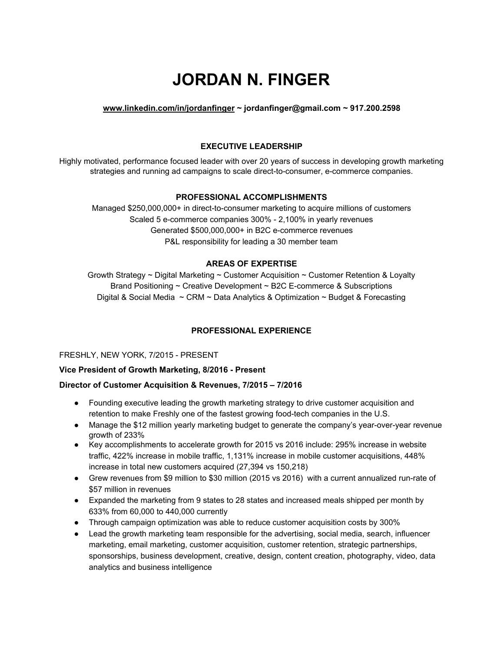# **JORDAN N. FINGER**

## **[www.linkedin.com/in/jordanfinger](http://www.linkedin.com/in/jordanfinger) ~ jordanfinger@gmail.com ~ 917.200.2598**

# **EXECUTIVE LEADERSHIP**

Highly motivated, performance focused leader with over 20 years of success in developing growth marketing strategies and running ad campaigns to scale direct-to-consumer, e-commerce companies.

#### **PROFESSIONAL ACCOMPLISHMENTS**

Managed \$250,000,000+ in direct-to-consumer marketing to acquire millions of customers Scaled 5 e-commerce companies 300% - 2,100% in yearly revenues Generated \$500,000,000+ in B2C e-commerce revenues P&L responsibility for leading a 30 member team

#### **AREAS OF EXPERTISE**

Growth Strategy  $\sim$  Digital Marketing  $\sim$  Customer Acquisition  $\sim$  Customer Retention & Loyalty Brand Positioning ~ Creative Development ~ B2C E-commerce & Subscriptions Digital & Social Media  $\sim$  CRM  $\sim$  Data Analytics & Optimization  $\sim$  Budget & Forecasting

## **PROFESSIONAL EXPERIENCE**

#### FRESHLY, NEW YORK, 7/2015 - PRESENT

#### **Vice President of Growth Marketing, 8/2016 - Present**

#### **Director of Customer Acquisition & Revenues, 7/2015 – 7/2016**

- Founding executive leading the growth marketing strategy to drive customer acquisition and retention to make Freshly one of the fastest growing food-tech companies in the U.S.
- Manage the \$12 million yearly marketing budget to generate the company's year-over-year revenue growth of 233%
- Key accomplishments to accelerate growth for 2015 vs 2016 include: 295% increase in website traffic, 422% increase in mobile traffic, 1,131% increase in mobile customer acquisitions, 448% increase in total new customers acquired (27,394 vs 150,218)
- Grew revenues from \$9 million to \$30 million (2015 vs 2016) with a current annualized run-rate of \$57 million in revenues
- Expanded the marketing from 9 states to 28 states and increased meals shipped per month by 633% from 60,000 to 440,000 currently
- Through campaign optimization was able to reduce customer acquisition costs by 300%
- Lead the growth marketing team responsible for the advertising, social media, search, influencer marketing, email marketing, customer acquisition, customer retention, strategic partnerships, sponsorships, business development, creative, design, content creation, photography, video, data analytics and business intelligence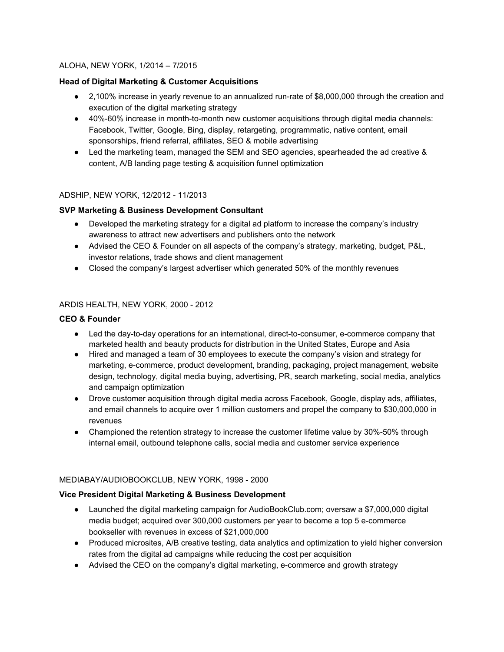## ALOHA, NEW YORK, 1/2014 – 7/2015

## **Head of Digital Marketing & Customer Acquisitions**

- 2,100% increase in yearly revenue to an annualized run-rate of \$8,000,000 through the creation and execution of the digital marketing strategy
- 40%-60% increase in month-to-month new customer acquisitions through digital media channels: Facebook, Twitter, Google, Bing, display, retargeting, programmatic, native content, email sponsorships, friend referral, affiliates, SEO & mobile advertising
- Led the marketing team, managed the SEM and SEO agencies, spearheaded the ad creative & content, A/B landing page testing & acquisition funnel optimization

## ADSHIP, NEW YORK, 12/2012 - 11/2013

# **SVP Marketing & Business Development Consultant**

- Developed the marketing strategy for a digital ad platform to increase the company's industry awareness to attract new advertisers and publishers onto the network
- Advised the CEO & Founder on all aspects of the company's strategy, marketing, budget, P&L, investor relations, trade shows and client management
- Closed the company's largest advertiser which generated 50% of the monthly revenues

## ARDIS HEALTH, NEW YORK, 2000 - 2012

## **CEO & Founder**

- Led the day-to-day operations for an international, direct-to-consumer, e-commerce company that marketed health and beauty products for distribution in the United States, Europe and Asia
- Hired and managed a team of 30 employees to execute the company's vision and strategy for marketing, e-commerce, product development, branding, packaging, project management, website design, technology, digital media buying, advertising, PR, search marketing, social media, analytics and campaign optimization
- Drove customer acquisition through digital media across Facebook, Google, display ads, affiliates, and email channels to acquire over 1 million customers and propel the company to \$30,000,000 in revenues
- Championed the retention strategy to increase the customer lifetime value by 30%-50% through internal email, outbound telephone calls, social media and customer service experience

## MEDIABAY/AUDIOBOOKCLUB, NEW YORK, 1998 - 2000

## **Vice President Digital Marketing & Business Development**

- Launched the digital marketing campaign for AudioBookClub.com; oversaw a \$7,000,000 digital media budget; acquired over 300,000 customers per year to become a top 5 e-commerce bookseller with revenues in excess of \$21,000,000
- Produced microsites, A/B creative testing, data analytics and optimization to yield higher conversion rates from the digital ad campaigns while reducing the cost per acquisition
- Advised the CEO on the company's digital marketing, e-commerce and growth strategy